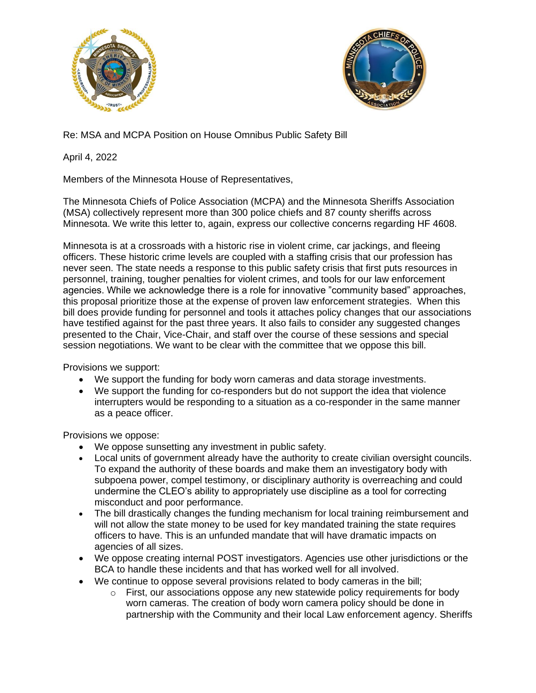



Re: MSA and MCPA Position on House Omnibus Public Safety Bill

April 4, 2022

Members of the Minnesota House of Representatives,

The Minnesota Chiefs of Police Association (MCPA) and the Minnesota Sheriffs Association (MSA) collectively represent more than 300 police chiefs and 87 county sheriffs across Minnesota. We write this letter to, again, express our collective concerns regarding HF 4608.

Minnesota is at a crossroads with a historic rise in violent crime, car jackings, and fleeing officers. These historic crime levels are coupled with a staffing crisis that our profession has never seen. The state needs a response to this public safety crisis that first puts resources in personnel, training, tougher penalties for violent crimes, and tools for our law enforcement agencies. While we acknowledge there is a role for innovative "community based" approaches, this proposal prioritize those at the expense of proven law enforcement strategies. When this bill does provide funding for personnel and tools it attaches policy changes that our associations have testified against for the past three years. It also fails to consider any suggested changes presented to the Chair, Vice-Chair, and staff over the course of these sessions and special session negotiations. We want to be clear with the committee that we oppose this bill.

Provisions we support:

- We support the funding for body worn cameras and data storage investments.
- We support the funding for co-responders but do not support the idea that violence interrupters would be responding to a situation as a co-responder in the same manner as a peace officer.

Provisions we oppose:

- We oppose sunsetting any investment in public safety.
- Local units of government already have the authority to create civilian oversight councils. To expand the authority of these boards and make them an investigatory body with subpoena power, compel testimony, or disciplinary authority is overreaching and could undermine the CLEO's ability to appropriately use discipline as a tool for correcting misconduct and poor performance.
- The bill drastically changes the funding mechanism for local training reimbursement and will not allow the state money to be used for key mandated training the state requires officers to have. This is an unfunded mandate that will have dramatic impacts on agencies of all sizes.
- We oppose creating internal POST investigators. Agencies use other jurisdictions or the BCA to handle these incidents and that has worked well for all involved.
- We continue to oppose several provisions related to body cameras in the bill;
	- o First, our associations oppose any new statewide policy requirements for body worn cameras. The creation of body worn camera policy should be done in partnership with the Community and their local Law enforcement agency. Sheriffs